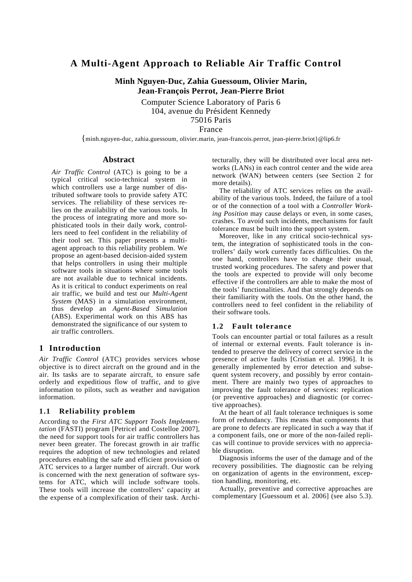# **A Multi-Agent Approach to Reliable Air Traffic Control**

**Minh Nguyen-Duc, Zahia Guessoum, Olivier Marin, Jean-François Perrot, Jean-Pierre Briot** 

> Computer Science Laboratory of Paris 6 104, avenue du Président Kennedy 75016 Paris

France

{minh.nguyen-duc, zahia.guessoum, olivier.marin, jean-francois.perrot, jean-pierre.briot}@lip6.fr

### **Abstract**

*Air Traffic Control* (ATC) is going to be a typical critical socio-technical system in which controllers use a large number of distributed software tools to provide safety ATC services. The reliability of these services relies on the availability of the various tools. In the process of integrating more and more sophisticated tools in their daily work, controllers need to feel confident in the reliability of their tool set. This paper presents a multiagent approach to this reliability problem. We propose an agent-based decision-aided system that helps controllers in using their multiple software tools in situations where some tools are not available due to technical incidents. As it is critical to conduct experiments on real air traffic, we build and test our *Multi-Agent System* (MAS) in a simulation environment, thus develop an *Agent-Based Simulation* (ABS). Experimental work on this ABS has demonstrated the significance of our system to air traffic controllers.

## **1 Introduction**

*Air Traffic Control* (ATC) provides services whose objective is to direct aircraft on the ground and in the air. Its tasks are to separate aircraft, to ensure safe orderly and expeditious flow of traffic, and to give information to pilots, such as weather and navigation information.

### **1.1 Reliability problem**

According to the *First ATC Support Tools Implementation* (FASTI) program [Petricel and Costelloe 2007], the need for support tools for air traffic controllers has never been greater. The forecast growth in air traffic requires the adoption of new technologies and related procedures enabling the safe and efficient provision of ATC services to a larger number of aircraft. Our work is concerned with the next generation of software systems for ATC, which will include software tools. These tools will increase the controllers' capacity at the expense of a complexification of their task. Architecturally, they will be distributed over local area networks (LANs) in each control center and the wide area network (WAN) between centers (see Section 2 for more details).

The reliability of ATC services relies on the availability of the various tools. Indeed, the failure of a tool or of the connection of a tool with a *Controller Working Position* may cause delays or even, in some cases, crashes. To avoid such incidents, mechanisms for fault tolerance must be built into the support system.

Moreover, like in any critical socio-technical system, the integration of sophisticated tools in the controllers' daily work currently faces difficulties. On the one hand, controllers have to change their usual, trusted working procedures. The safety and power that the tools are expected to provide will only become effective if the controllers are able to make the most of the tools' functionalities. And that strongly depends on their familiarity with the tools. On the other hand, the controllers need to feel confident in the reliability of their software tools.

#### **1.2 Fault tolerance**

Tools can encounter partial or total failures as a result of internal or external events. Fault tolerance is intended to preserve the delivery of correct service in the presence of active faults [Cristian et al. 1996]. It is generally implemented by error detection and subsequent system recovery, and possibly by error containment. There are mainly two types of approaches to improving the fault tolerance of services: replication (or preventive approaches) and diagnostic (or corrective approaches).

At the heart of all fault tolerance techniques is some form of redundancy. This means that components that are prone to defects are replicated in such a way that if a component fails, one or more of the non-failed replicas will continue to provide services with no appreciable disruption.

Diagnosis informs the user of the damage and of the recovery possibilities. The diagnostic can be relying on organization of agents in the environment, exception handling, monitoring, etc.

Actually, preventive and corrective approaches are complementary [Guessoum et al. 2006] (see also 5.3).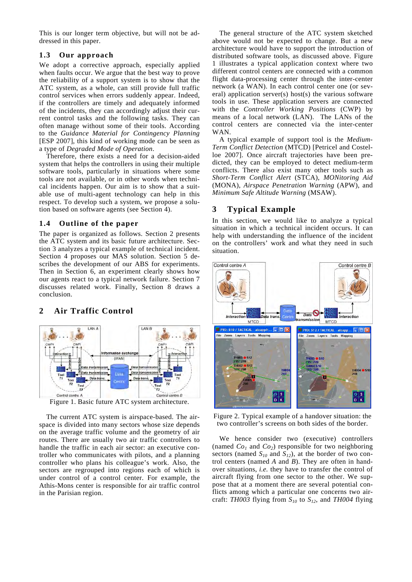This is our longer term objective, but will not be addressed in this paper.

### **1.3 Our approach**

We adopt a corrective approach, especially applied when faults occur. We argue that the best way to prove the reliability of a support system is to show that the ATC system, as a whole, can still provide full traffic control services when errors suddenly appear. Indeed, if the controllers are timely and adequately informed of the incidents, they can accordingly adjust their current control tasks and the following tasks. They can often manage without some of their tools. According to the *Guidance Material for Contingency Planning* [ESP 2007], this kind of working mode can be seen as a type of *Degraded Mode of Operation*.

Therefore, there exists a need for a decision-aided system that helps the controllers in using their multiple software tools, particularly in situations where some tools are not available, or in other words when technical incidents happen. Our aim is to show that a suitable use of multi-agent technology can help in this respect. To develop such a system, we propose a solution based on software agents (see Section 4).

### **1.4 Outline of the paper**

The paper is organized as follows. Section 2 presents the ATC system and its basic future architecture. Section 3 analyzes a typical example of technical incident. Section 4 proposes our MAS solution. Section 5 describes the development of our ABS for experiments. Then in Section 6, an experiment clearly shows how our agents react to a typical network failure. Section 7 discusses related work. Finally, Section 8 draws a conclusion.

# **2 Air Traffic Control**



Figure 1. Basic future ATC system architecture.

The current ATC system is airspace-based. The airspace is divided into many sectors whose size depends on the average traffic volume and the geometry of air routes. There are usually two air traffic controllers to handle the traffic in each air sector: an executive controller who communicates with pilots, and a planning controller who plans his colleague's work. Also, the sectors are regrouped into regions each of which is under control of a control center. For example, the Athis-Mons center is responsible for air traffic control in the Parisian region.

The general structure of the ATC system sketched above would not be expected to change. But a new architecture would have to support the introduction of distributed software tools, as discussed above. Figure 1 illustrates a typical application context where two different control centers are connected with a common flight data-processing center through the inter-center network (a WAN). In each control center one (or several) application server(s) host(s) the various software tools in use. These application servers are connected with the *Controller Working Positions* (CWP) by means of a local network (LAN). The LANs of the control centers are connected via the inter-center WAN.

A typical example of support tool is the *Medium-Term Conflict Detection* (MTCD) [Petricel and Costelloe 2007]. Once aircraft trajectories have been predicted, they can be employed to detect medium-term conflicts. There also exist many other tools such as *Short-Term Conflict Alert* (STCA), *MONitoring Aid* (MONA), *Airspace Penetration Warning* (APW), and *Minimum Safe Altitude Warning* (MSAW).

# **3 Typical Example**

In this section, we would like to analyze a typical situation in which a technical incident occurs. It can help with understanding the influence of the incident on the controllers' work and what they need in such situation.



Figure 2. Typical example of a handover situation: the two controller's screens on both sides of the border.

We hence consider two (executive) controllers (named  $Co<sub>1</sub>$  and  $Co<sub>2</sub>$ ) responsible for two neighboring sectors (named  $S_{10}$  and  $S_{12}$ ), at the border of two control centers (named *A* and *B*). They are often in handover situations, *i.e.* they have to transfer the control of aircraft flying from one sector to the other. We suppose that at a moment there are several potential conflicts among which a particular one concerns two aircraft: *TH003* flying from  $S_{10}$  to  $S_{12}$ , and *TH004* flying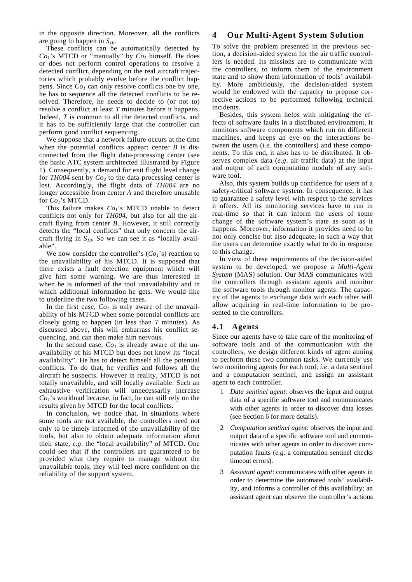in the opposite direction. Moreover, all the conflicts are going to happen in  $S_{10}$ .

These conflicts can be automatically detected by  $Co<sub>1</sub>$ 's MTCD or "manually" by  $Co<sub>1</sub>$  himself. He does or does not perform control operations to resolve a detected conflict, depending on the real aircraft trajectories which probably evolve before the conflict happens. Since *Co<sub>1</sub>* can only resolve conflicts one by one, he has to sequence all the detected conflicts to be resolved. Therefore, he needs to decide to (or not to) resolve a conflict at least *T* minutes before it happens. Indeed, *T* is common to all the detected conflicts, and it has to be sufficiently large that the controller can perform good conflict sequencing.

We suppose that a network failure occurs at the time when the potential conflicts appear: center *B* is disconnected from the flight data-processing center (see the basic ATC system architected illustrated by Figure 1). Consequently, a demand for exit flight level change for  $TH004$  sent by  $Co_2$  to the data-processing center is lost. Accordingly, the flight data of *TH004* are no longer accessible from center *A* and therefore unusable for *Co<sub>1</sub>*'s MTCD.

This failure makes  $Co<sub>1</sub>$ 's MTCD unable to detect conflicts not only for *TH004*, but also for all the aircraft flying from center *B*. However, it still correctly detects the "local conflicts" that only concern the aircraft flying in *S10*. So we can see it as "locally available".

We now consider the controller's  $(Co<sub>1</sub>'s)$  reaction to the unavailability of his MTCD. It is supposed that there exists a fault detection equipment which will give him some warning. We are thus interested in when he is informed of the tool unavailability and in which additional information he gets. We would like to underline the two following cases.

In the first case,  $Co<sub>1</sub>$  is only aware of the unavailability of his MTCD when some potential conflicts are closely going to happen (in less than *T* minutes). As discussed above, this will embarrass his conflict sequencing, and can then make him nervous.

In the second case,  $Co<sub>1</sub>$  is already aware of the unavailability of his MTCD but does not know its "local availability". He has to detect himself all the potential conflicts. To do that, he verifies and follows all the aircraft he suspects. However in reality, MTCD is not totally unavailable, and still locally available. Such an exhaustive verification will unnecessarily increase  $Co<sub>1</sub>$ 's workload because, in fact, he can still rely on the results given by MTCD for the local conflicts.

In conclusion, we notice that, in situations where some tools are not available, the controllers need not only to be timely informed of the unavailability of the tools, but also to obtain adequate information about their state, *e.g.* the "local availability" of MTCD. One could see that if the controllers are guaranteed to be provided what they require to manage without the unavailable tools, they will feel more confident on the reliability of the support system.

## **4 Our Multi-Agent System Solution**

To solve the problem presented in the previous section, a decision-aided system for the air traffic controllers is needed. Its missions are to communicate with the controllers, to inform them of the environment state and to show them information of tools' availability. More ambitiously, the decision-aided system would be endowed with the capacity to propose corrective actions to be performed following technical incidents.

Besides, this system helps with mitigating the effects of software faults in a distributed environment. It monitors software components which run on different machines, and keeps an eye on the interactions between the users (*i.e*. the controllers) and these components. To this end, it also has to be distributed. It observes complex data (*e.g*. air traffic data) at the input and output of each computation module of any software tool.

Also, this system builds up confidence for users of a safety-critical software system. In consequence, it has to guarantee a safety level with respect to the services it offers. All its monitoring services have to run in real-time so that it can inform the users of some change of the software system's state as soon as it happens. Moreover, information it provides need to be not only concise but also adequate, in such a way that the users can determine exactly what to do in response to this change.

In view of these requirements of the decision-aided system to be developed, we propose a *Multi-Agent System* (MAS) solution. Our MAS communicates with the controllers through assistant agents and monitor the software tools through monitor agents. The capacity of the agents to exchange data with each other will allow acquiring in real-time information to be presented to the controllers.

## **4.1 Agents**

Since our agents have to take care of the monitoring of software tools and of the communication with the controllers, we design different kinds of agent aiming to perform these two common tasks. We currently use two monitoring agents for each tool, *i.e*. a data sentinel and a computation sentinel, and assign an assistant agent to each controller.

- 1 *Data sentinel agent*: observes the input and output data of a specific software tool and communicates with other agents in order to discover data losses (see Section 6 for more details).
- 2 *Computation sentinel agent*: observes the input and output data of a specific software tool and communicates with other agents in order to discover computation faults (*e.g*. a computation sentinel checks timeout errors).
- 3 *Assistant agent*: communicates with other agents in order to determine the automated tools' availability, and informs a controller of this availability; an assistant agent can observe the controller's actions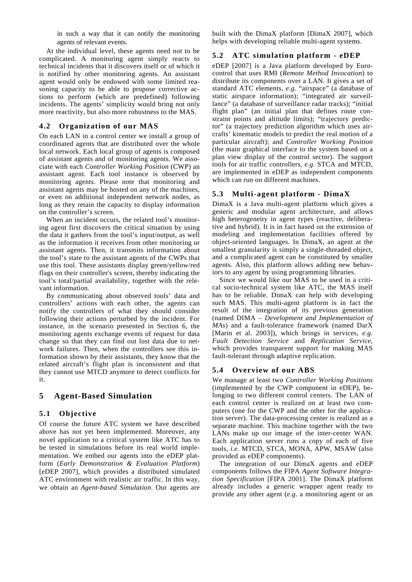in such a way that it can notify the monitoring agents of relevant events.

At the individual level, these agents need not to be complicated. A monitoring agent simply reacts to technical incidents that it discovers itself or of which it is notified by other monitoring agents. An assistant agent would only be endowed with some limited reasoning capacity to be able to propose corrective actions to perform (which are predefined) following incidents. The agents' simplicity would bring not only more reactivity, but also more robustness to the MAS.

### **4.2 Organization of our MAS**

On each LAN in a control center we install a group of coordinated agents that are distributed over the whole local network. Each local group of agents is composed of assistant agents and of monitoring agents. We associate with each *Controller Working Position* (CWP) an assistant agent. Each tool instance is observed by monitoring agents. Please note that monitoring and assistant agents may be hosted on any of the machines, or even on additional independent network nodes, as long as they retain the capacity to display information on the controller's screen.

When an incident occurs, the related tool's monitoring agent first discovers the critical situation by using the data it gathers from the tool's input/output, as well as the information it receives from other monitoring or assistant agents. Then, it transmits information about the tool's state to the assistant agents of the CWPs that use this tool. These assistants display green/yellow/red flags on their controller's screen, thereby indicating the tool's total/partial availability, together with the relevant information.

By communicating about observed tools' data and controllers' actions with each other, the agents can notify the controllers of what they should consider following their actions perturbed by the incident. For instance, in the scenario presented in Section 6, the monitoring agents exchange events of request for data change so that they can find out lost data due to network failures. Then, when the controllers see this information shown by their assistants, they know that the related aircraft's flight plan is inconsistent and that they cannot use MTCD anymore to detect conflicts for it.

# **5 Agent-Based Simulation**

## **5.1 Objective**

Of course the future ATC system we have described above has not yet been implemented. Moreover, any novel application to a critical system like ATC has to be tested in simulations before its real world implementation. We embed our agents into the eDEP platform (*Early Demonstration & Evaluation Platform*) [eDEP 2007], which provides a distributed simulated ATC environment with realistic air traffic. In this way, we obtain an *Agent-based Simulation*. Our agents are built with the DimaX platform [DimaX 2007], which helps with developing reliable multi-agent systems.

### **5.2 ATC simulation platform - eDEP**

eDEP [2007] is a Java platform developed by Eurocontrol that uses RMI (*Remote Method Invocation*) to distribute its components over a LAN. It gives a set of standard ATC elements, *e.g.* "airspace" (a database of static airspace information); "integrated air surveillance" (a database of surveillance radar tracks); "initial flight plan" (an initial plan that defines route constraint points and altitude limits); "trajectory predictor" (a trajectory prediction algorithm which uses aircrafts' kinematic models to predict the real motion of a particular aircraft); and *Controller Working Position* (the main graphical interface to the system based on a plan view display of the control sector). The support tools for air traffic controllers, *e.g.* STCA and MTCD, are implemented in eDEP as independent components which can run on different machines.

### **5.3 Multi-agent platform - DimaX**

DimaX is a Java multi-agent platform which gives a generic and modular agent architecture, and allows high heterogeneity in agent types (reactive, deliberative and hybrid). It is in fact based on the extension of modeling and implementation facilities offered by object-oriented languages. In DimaX, an agent at the smallest granularity is simply a single-threaded object, and a complicated agent can be constituted by smaller agents. Also, this platform allows adding new behaviors to any agent by using programming libraries.

Since we would like our MAS to be used in a critical socio-technical system like ATC, the MAS itself has to be reliable. DimaX can help with developing such MAS. This multi-agent platform is in fact the result of the integration of its previous generation (named DIMA – *Development and Implementation of MAs*) and a fault-tolerance framework (named DarX [Marin et al. 2003]), which brings in services, *e.g*. *Fault Detection Service* and *Replication Service*, which provides transparent support for making MAS fault-tolerant through adaptive replication.

#### **5.4 Overview of our ABS**

We manage at least two *Controller Working Positions* (implemented by the CWP component in eDEP), belonging to two different control centers. The LAN of each control center is realized on at least two computers (one for the CWP and the other for the application server). The data-processing center is realized as a separate machine. This machine together with the two LANs make up our image of the inter-center WAN. Each application server runs a copy of each of five tools, *i.e*. MTCD, STCA, MONA, APW, MSAW (also provided as eDEP components).

The integration of our DimaX agents and eDEP components follows the FIPA *Agent Software Integration Specification* [FIPA 2001]. The DimaX platform already includes a generic wrapper agent ready to provide any other agent (*e.g*. a monitoring agent or an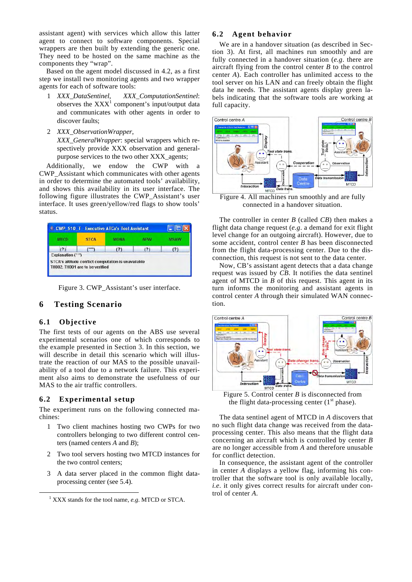assistant agent) with services which allow this latter agent to connect to software components. Special wrappers are then built by extending the generic one. They need to be hosted on the same machine as the components they "wrap".

Based on the agent model discussed in 4.2, as a first step we install two monitoring agents and two wrapper agents for each of software tools:

- 1 *XXX\_DataSentinel*, *XXX\_ComputationSentinel*: observes the  $XXX<sup>1</sup>$  component's input/output data and communicates with other agents in order to discover faults;
- 2 *XXX\_ObservationWrapper*, *XXX\_GeneralWrapper*: special wrappers which respectively provide XXX observation and generalpurpose services to the two other XXX\_agents;

Additionally, we endow the CWP with a CWP\_Assistant which communicates with other agents in order to determine the automated tools' availability, and shows this availability in its user interface. The following figure illustrates the CWP\_Assistant's user interface. It uses green/yellow/red flags to show tools' status.



Figure 3. CWP\_Assistant's user interface.

# **6 Testing Scenario**

#### **6.1 Objective**

The first tests of our agents on the ABS use several experimental scenarios one of which corresponds to the example presented in Section 3. In this section, we will describe in detail this scenario which will illustrate the reaction of our MAS to the possible unavailability of a tool due to a network failure. This experiment also aims to demonstrate the usefulness of our MAS to the air traffic controllers.

## **6.2 Experimental setup**

The experiment runs on the following connected machines:

- 1 Two client machines hosting two CWPs for two controllers belonging to two different control centers (named centers *A* and *B*);
- 2 Two tool servers hosting two MTCD instances for the two control centers;
- 3 A data server placed in the common flight dataprocessing center (see 5.4).

### **6.2 Agent behavior**

We are in a handover situation (as described in Section 3). At first, all machines run smoothly and are fully connected in a handover situation (*e.g*. there are aircraft flying from the control center *B* to the control center *A*). Each controller has unlimited access to the tool server on his LAN and can freely obtain the flight data he needs. The assistant agents display green labels indicating that the software tools are working at full capacity.



Figure 4. All machines run smoothly and are fully connected in a handover situation.

The controller in center *B* (called *CB*) then makes a flight data change request (*e.g*. a demand for exit flight level change for an outgoing aircraft). However, due to some accident, control center *B* has been disconnected from the flight data-processing center. Due to the disconnection, this request is not sent to the data center.

Now, CB's assistant agent detects that a data change request was issued by *CB*. It notifies the data sentinel agent of MTCD in *B* of this request. This agent in its turn informs the monitoring and assistant agents in control center *A* through their simulated WAN connection.



Figure 5. Control center *B* is disconnected from the flight data-processing center  $(1<sup>st</sup>$  phase).

The data sentinel agent of MTCD in *A* discovers that no such flight data change was received from the dataprocessing center. This also means that the flight data concerning an aircraft which is controlled by center *B* are no longer accessible from *A* and therefore unusable for conflict detection.

In consequence, the assistant agent of the controller in center *A* displays a yellow flag, informing his controller that the software tool is only available locally, *i.e*. it only gives correct results for aircraft under control of center *A*.

 $\frac{1}{1}$ XXX stands for the tool name, *e.g*. MTCD or STCA.